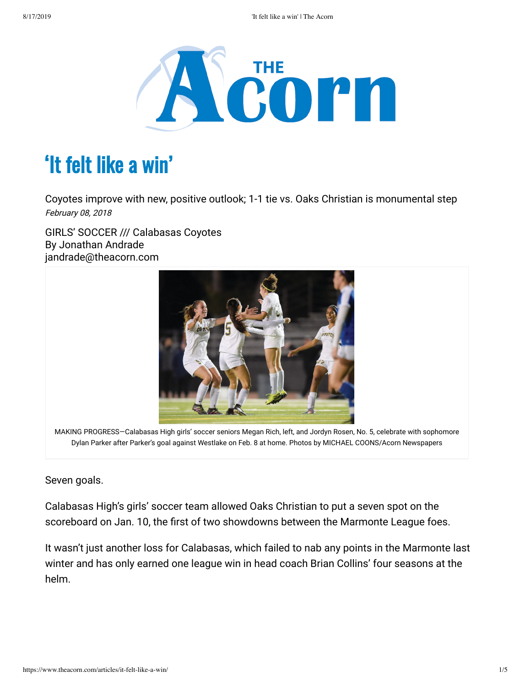

# 'It felt like a win'

Coyotes improve with new, positive outlook; 1-1 tie vs. Oaks Christian is monumental step February 08, 2018

GIRLS' SOCCER /// Calabasas Coyotes By Jonathan Andrade jandrade@theacorn.com



MAKING PROGRESS—Calabasas High girls' soccer seniors Megan Rich, left, and Jordyn Rosen, No. 5, celebrate with sophomore Dylan Parker after Parker's goal against Westlake on Feb. 8 at home. Photos by MICHAEL COONS/Acorn Newspapers

Seven goals.

Calabasas High's girls' soccer team allowed Oaks Christian to put a seven spot on the scoreboard on Jan. 10, the first of two showdowns between the Marmonte League foes.

It wasn't just another loss for Calabasas, which failed to nab any points in the Marmonte last winter and has only earned one league win in head coach Brian Collins' four seasons at the helm.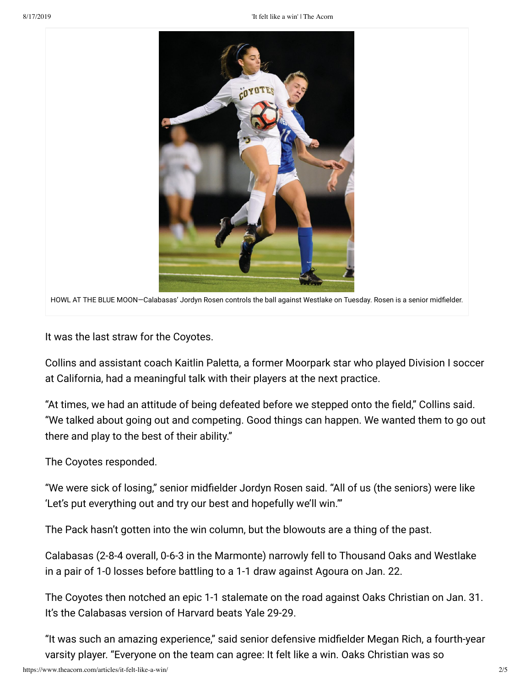

HOWL AT THE BLUE MOON-Calabasas' Jordyn Rosen controls the ball against Westlake on Tuesday. Rosen is a senior midfielder.

It was the last straw for the Coyotes.

Collins and assistant coach Kaitlin Paletta, a former Moorpark star who played Division I soccer at California, had a meaningful talk with their players at the next practice.

"At times, we had an attitude of being defeated before we stepped onto the field," Collins said. "We talked about going out and competing. Good things can happen. We wanted them to go out there and play to the best of their ability."

The Coyotes responded.

"We were sick of losing," senior midfielder Jordyn Rosen said. "All of us (the seniors) were like 'Let's put everything out and try our best and hopefully we'll win.'"

The Pack hasn't gotten into the win column, but the blowouts are a thing of the past.

Calabasas (2-8-4 overall, 0-6-3 in the Marmonte) narrowly fell to Thousand Oaks and Westlake in a pair of 1-0 losses before battling to a 1-1 draw against Agoura on Jan. 22.

The Coyotes then notched an epic 1-1 stalemate on the road against Oaks Christian on Jan. 31. It's the Calabasas version of Harvard beats Yale 29-29.

"It was such an amazing experience," said senior defensive midfielder Megan Rich, a fourth-year varsity player. "Everyone on the team can agree: It felt like a win. Oaks Christian was so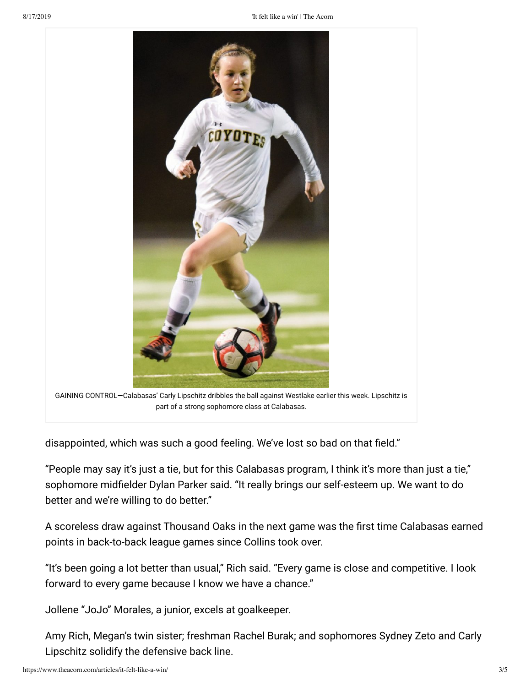

disappointed, which was such a good feeling. We've lost so bad on that field."

"People may say it's just a tie, but for this Calabasas program, I think it's more than just a tie," sophomore midfielder Dylan Parker said. "It really brings our self-esteem up. We want to do better and we're willing to do better."

A scoreless draw against Thousand Oaks in the next game was the first time Calabasas earned points in back-to-back league games since Collins took over.

"It's been going a lot better than usual," Rich said. "Every game is close and competitive. I look forward to every game because I know we have a chance."

Jollene "JoJo" Morales, a junior, excels at goalkeeper.

Amy Rich, Megan's twin sister; freshman Rachel Burak; and sophomores Sydney Zeto and Carly Lipschitz solidify the defensive back line.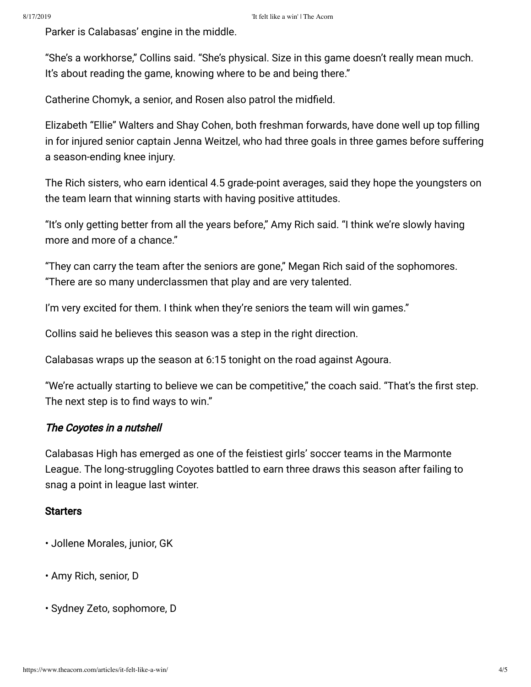Parker is Calabasas' engine in the middle.

"She's a workhorse," Collins said. "She's physical. Size in this game doesn't really mean much. It's about reading the game, knowing where to be and being there."

Catherine Chomyk, a senior, and Rosen also patrol the midfield.

Elizabeth "Ellie" Walters and Shay Cohen, both freshman forwards, have done well up top filling in for injured senior captain Jenna Weitzel, who had three goals in three games before suffering a season-ending knee injury.

The Rich sisters, who earn identical 4.5 grade-point averages, said they hope the youngsters on the team learn that winning starts with having positive attitudes.

"It's only getting better from all the years before," Amy Rich said. "I think we're slowly having more and more of a chance."

"They can carry the team after the seniors are gone," Megan Rich said of the sophomores. "There are so many underclassmen that play and are very talented.

I'm very excited for them. I think when they're seniors the team will win games."

Collins said he believes this season was a step in the right direction.

Calabasas wraps up the season at 6:15 tonight on the road against Agoura.

"We're actually starting to believe we can be competitive," the coach said. "That's the first step. The next step is to find ways to win."

#### The Coyotes in a nutshell

Calabasas High has emerged as one of the feistiest girls' soccer teams in the Marmonte League. The long-struggling Coyotes battled to earn three draws this season after failing to snag a point in league last winter.

#### **Starters**

- Jollene Morales, junior, GK
- Amy Rich, senior, D
- Sydney Zeto, sophomore, D